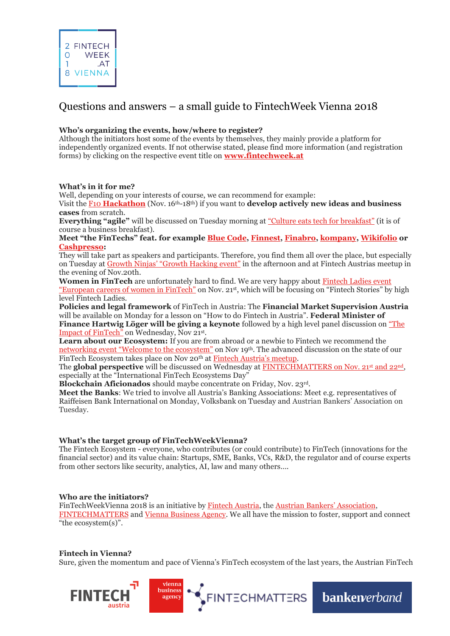# Questions and answers – a small guide to FintechWeek Vienna 2018

## **Who's organizing the events, how/where to register?**

Although the initiators host some of the events by themselves, they mainly provide a platform for independently organized events. If not otherwise stated, please find more information (and registration forms) by clicking on the respective event title on **[www.fintechweek.at](http://www.fintechweek.at/)**

### **What's in it for me?**

Well, depending on your interests of course, we can recommend for example:

Visit the F10 **[Hackathon](https://www.f10.ch/fintech-hackathon/vienna2018/)** (Nov. 16th-18th) if you want to **develop actively new ideas and business cases** from scratch.

**Everything "agile"** will be discussed on Tuesday morning at <u>["Culture eats tech for breakfast"](https://viennabusinessagency.at/events/business-meetup-culture-eats-tech-for-breakfast-795/)</u> (it is of course a business breakfast).

**Meet "the FinTechs" feat. for example [Blue Code,](https://bluecode.com/en) [Finnest,](https://www.finnest.com/) [Finabro,](https://www.finabro.at/) [kompany,](http://www.kompany.com/) [Wikifolio](http://www.wikifolio.com/) or [Cashpresso:](https://www.cashpresso.com/en/)**

They will take part as speakers and participants. Therefore, you find them all over the place, but especially on Tuesday at Growth Ninjas' ["Growth Hacking](https://www.volksbankwien.at/fintech) event" in the afternoon and at Fintech Austrias meetup in the evening of Nov.20th.

**Women in FinTech** are unfortunately hard to find. We are very happy about Fintech Ladies event ["European careers of women in FinTech"](https://www.eventbrite.de/e/european-careers-of-women-in-fintech-fintechstories-by-fintech-ladies-and-european-women-payments-tickets-51013217908) on Nov. 21<sup>st</sup>, which will be focusing on "Fintech Stories" by high level Fintech Ladies.

**Policies and legal framework** of FinTech in Austria: The **Financial Market Supervision Austria** will be available on Monday for a lesson on "How to do Fintech in Austria". **Federal Minister of Finance Hartwig Löger will be giving a keynote** followed by a high level panel discussion on ["The](https://wirtschaftsagentur.at/fileadmin/user_upload/VA_News_Workshops/Einladung_BMF_iRd_ViennaFinTechWeek.pdf)  [Impact of FinTech"](https://wirtschaftsagentur.at/fileadmin/user_upload/VA_News_Workshops/Einladung_BMF_iRd_ViennaFinTechWeek.pdf) on Wednesday, Nov 21st.

**Learn about our Ecosystem:** If you are from abroad or a newbie to Fintech we recommend the net[working event "Welcome to the ecosystem"](https://viennabusinessagency.at/events/business-meetup-welcome-to-the-austrian-fintech-ecosystem-816/) on Nov 19th. The advanced discussion on the state of our FinTech Ecosystem takes place on Nov 20th at [Fintech Austria's](https://www.eventbrite.com/e/vienna-fintech-meetup-11-tickets-51460911973) meetup.

The **global perspective** will be discussed on Wednesday at [FINTECHMATTERS](http://www.fintechmatters.org/ftm-summit-2018/) on Nov. 21<sup>st</sup> and 22<sup>nd</sup>, especially at the "International FinTech Ecosystems Day"

**Blockchain Aficionados** should maybe concentrate on Friday, Nov. 23rd.

**Meet the Banks**: We tried to involve all Austria's Banking Associations: Meet e.g. representatives of Raiffeisen Bank International on Monday, Volksbank on Tuesday and Austrian Bankers' Association on Tuesday.

### **What's the target group of FinTechWeekVienna?**

The Fintech Ecosystem - everyone, who contributes (or could contribute) to FinTech (innovations for the financial sector) and its value chain: Startups, SME, Banks, VCs, R&D, the regulator and of course experts from other sectors like security, analytics, AI, law and many others….

### **Who are the initiators?**

FinTechWeekVienna 2018 is an initiative by [Fintech Austria,](http://www.fintechaustria.org/) the [Austrian Bankers' Association](https://www.bankenverband.at/en/), [FINTECHMATTERS](http://www.fintechmatters.org/ftm-summit-2018/) and [Vienna Business Agency.](https://viennabusinessagency.at/events/business-meetup-welcome-to-the-austrian-fintech-ecosystem-816/) We all have the mission to foster, support and connect "the ecosystem(s)".

### **Fintech in Vienna?**

Sure, given the momentum and pace of Vienna's FinTech ecosystem of the last years, the Austrian FinTech